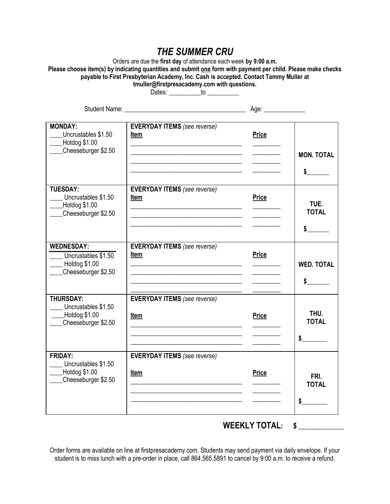## *THE SUMMER CRU*

Orders are due the **first day** of attendance each week **by 9:00 a.m.** Please choose item(s) by indicating quantities and submit one form with payment per child. Please make checks **payable to First Presbyterian Academy, Inc. Cash is accepted. Contact Tammy Muller at tmuller@firstpresacademy.com with questions.** 

Dates: \_\_\_\_\_\_\_\_\_\_\_\_to \_\_\_\_\_\_\_\_\_\_\_

| Student Name: University of the Student Name:                                        |                                                                                                                                                                                                                                                                                     | Age: ______________                                                                                     |                                       |
|--------------------------------------------------------------------------------------|-------------------------------------------------------------------------------------------------------------------------------------------------------------------------------------------------------------------------------------------------------------------------------------|---------------------------------------------------------------------------------------------------------|---------------------------------------|
| <b>MONDAY:</b><br>Uncrustables \$1.50<br>Hotdog \$1.00<br>Cheeseburger \$2.50        | <b>EVERYDAY ITEMS</b> (see reverse)<br>Item<br><u> 1989 - Johann Harry Harry Harry Harry Harry Harry Harry Harry Harry Harry Harry Harry Harry Harry Harry Harry Harry Harry Harry Harry Harry Harry Harry Harry Harry Harry Harry Harry Harry Harry Harry Harry Harry Harry Ha</u> | <b>Price</b>                                                                                            | <b>MON. TOTAL</b><br>$\sim$           |
| <b>TUESDAY:</b><br>Uncrustables \$1.50<br>Hotdog \$1.00<br>Cheeseburger \$2.50       | <b>EVERYDAY ITEMS</b> (see reverse)<br>Item<br><u> 1989 - Johann John Stein, mars an deus Amerikaansk kommunister (</u><br><u> 1980 - Johann John Stone, market fan it ferskearre fan it ferskearre fan it ferskearre fan it ferskearre fan i</u>                                   | <b>Price</b>                                                                                            | TUE.<br><b>TOTAL</b><br>\$            |
| <b>WEDNESDAY:</b><br>Uncrustables \$1.50<br>$-$ Hotdog \$1.00<br>Cheeseburger \$2.50 | <b>EVERYDAY ITEMS</b> (see reverse)<br>Item<br><u> 1989 - Johann Barbara, martxa alemaniar arg</u><br><u> 1989 - Johann John Stein, markin fan it ferstjer fan it ferstjer fan it ferstjer fan it ferstjer fan it fers</u>                                                          | <b>Price</b><br>$\mathcal{L}^{\text{max}}_{\text{max}}$ , where $\mathcal{L}^{\text{max}}_{\text{max}}$ | <b>WED. TOTAL</b><br>$\sim$           |
| <b>THURSDAY:</b><br>Uncrustables \$1.50<br>$-$ Hotdog \$1.00<br>Cheeseburger \$2.50  | <b>EVERYDAY ITEMS</b> (see reverse)<br>Item                                                                                                                                                                                                                                         | <b>Price</b>                                                                                            | THU.<br><b>TOTAL</b><br>$\frac{1}{2}$ |
| <b>FRIDAY:</b><br>Uncrustables \$1.50<br>$-$ Hotdog \$1.00<br>Cheeseburger \$2.50    | <b>EVERYDAY ITEMS</b> (see reverse)<br><u>Item</u>                                                                                                                                                                                                                                  | <b>Price</b>                                                                                            | FRI.<br><b>TOTAL</b><br>\$            |

**WEEKLY TOTAL: \$ \_\_\_\_\_\_\_\_\_\_\_\_\_**

Order forms are available on line at firstpresacademy.com. Students may send payment via daily envelope. If your student is to miss lunch with a pre-order in place, call 864.565.5891 to cancel by 9:00 a.m. to receive a refund.